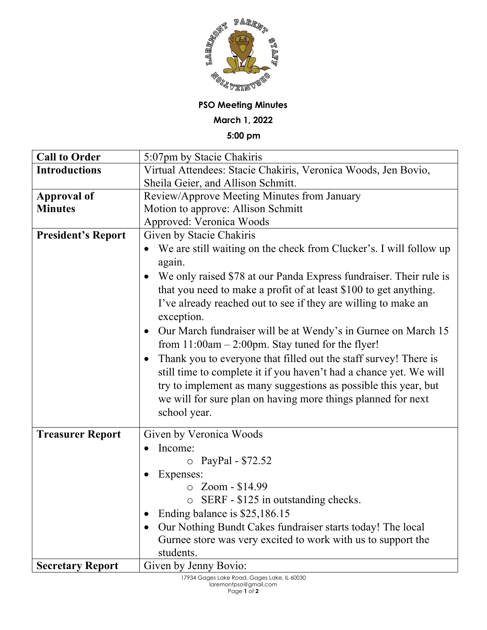

## **PSO Meeting Minutes**

**March 1, 2022**

**5:00 pm**

| <b>Call to Order</b>      | 5:07pm by Stacie Chakiris                                                                                                                                                                                                                                                                              |
|---------------------------|--------------------------------------------------------------------------------------------------------------------------------------------------------------------------------------------------------------------------------------------------------------------------------------------------------|
| <b>Introductions</b>      | Virtual Attendees: Stacie Chakiris, Veronica Woods, Jen Bovio,                                                                                                                                                                                                                                         |
|                           | Sheila Geier, and Allison Schmitt.                                                                                                                                                                                                                                                                     |
| <b>Approval of</b>        | Review/Approve Meeting Minutes from January                                                                                                                                                                                                                                                            |
| <b>Minutes</b>            | Motion to approve: Allison Schmitt                                                                                                                                                                                                                                                                     |
|                           | Approved: Veronica Woods                                                                                                                                                                                                                                                                               |
| <b>President's Report</b> | Given by Stacie Chakiris                                                                                                                                                                                                                                                                               |
|                           | We are still waiting on the check from Clucker's. I will follow up<br>again.<br>• We only raised \$78 at our Panda Express fundraiser. Their rule is                                                                                                                                                   |
|                           | that you need to make a profit of at least \$100 to get anything.<br>I've already reached out to see if they are willing to make an<br>exception.                                                                                                                                                      |
|                           | Our March fundraiser will be at Wendy's in Gurnee on March 15<br>$\bullet$<br>from $11:00$ am $- 2:00$ pm. Stay tuned for the flyer!                                                                                                                                                                   |
|                           | Thank you to everyone that filled out the staff survey! There is<br>$\bullet$<br>still time to complete it if you haven't had a chance yet. We will<br>try to implement as many suggestions as possible this year, but<br>we will for sure plan on having more things planned for next<br>school year. |
| <b>Treasurer Report</b>   | Given by Veronica Woods                                                                                                                                                                                                                                                                                |
|                           | Income:<br>$\bullet$                                                                                                                                                                                                                                                                                   |
|                           | O PayPal - \$72.52                                                                                                                                                                                                                                                                                     |
|                           | Expenses:                                                                                                                                                                                                                                                                                              |
|                           | $\circ$ Zoom - \$14.99                                                                                                                                                                                                                                                                                 |
|                           | $\circ$ SERF - \$125 in outstanding checks.                                                                                                                                                                                                                                                            |
|                           | Ending balance is \$25,186.15                                                                                                                                                                                                                                                                          |
|                           | Our Nothing Bundt Cakes fundraiser starts today! The local<br>$\bullet$                                                                                                                                                                                                                                |
|                           | Gurnee store was very excited to work with us to support the<br>students.                                                                                                                                                                                                                              |
| <b>Secretary Report</b>   | Given by Jenny Bovio:                                                                                                                                                                                                                                                                                  |